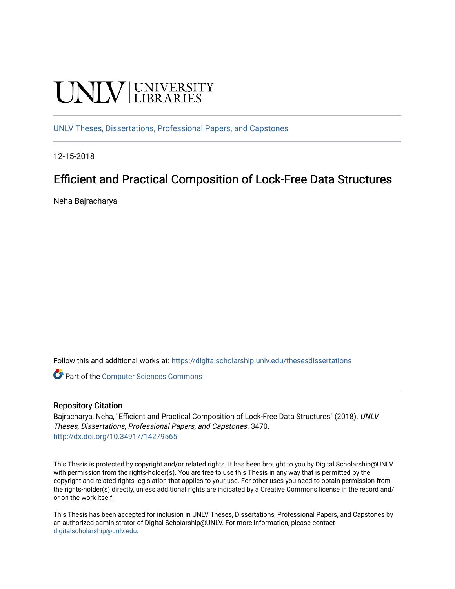# **UNIVERSITY**

[UNLV Theses, Dissertations, Professional Papers, and Capstones](https://digitalscholarship.unlv.edu/thesesdissertations)

12-15-2018

### Efficient and Practical Composition of Lock-Free Data Structures

Neha Bajracharya

Follow this and additional works at: [https://digitalscholarship.unlv.edu/thesesdissertations](https://digitalscholarship.unlv.edu/thesesdissertations?utm_source=digitalscholarship.unlv.edu%2Fthesesdissertations%2F3470&utm_medium=PDF&utm_campaign=PDFCoverPages)

**C** Part of the [Computer Sciences Commons](http://network.bepress.com/hgg/discipline/142?utm_source=digitalscholarship.unlv.edu%2Fthesesdissertations%2F3470&utm_medium=PDF&utm_campaign=PDFCoverPages)

#### Repository Citation

Bajracharya, Neha, "Efficient and Practical Composition of Lock-Free Data Structures" (2018). UNLV Theses, Dissertations, Professional Papers, and Capstones. 3470. <http://dx.doi.org/10.34917/14279565>

This Thesis is protected by copyright and/or related rights. It has been brought to you by Digital Scholarship@UNLV with permission from the rights-holder(s). You are free to use this Thesis in any way that is permitted by the copyright and related rights legislation that applies to your use. For other uses you need to obtain permission from the rights-holder(s) directly, unless additional rights are indicated by a Creative Commons license in the record and/ or on the work itself.

This Thesis has been accepted for inclusion in UNLV Theses, Dissertations, Professional Papers, and Capstones by an authorized administrator of Digital Scholarship@UNLV. For more information, please contact [digitalscholarship@unlv.edu](mailto:digitalscholarship@unlv.edu).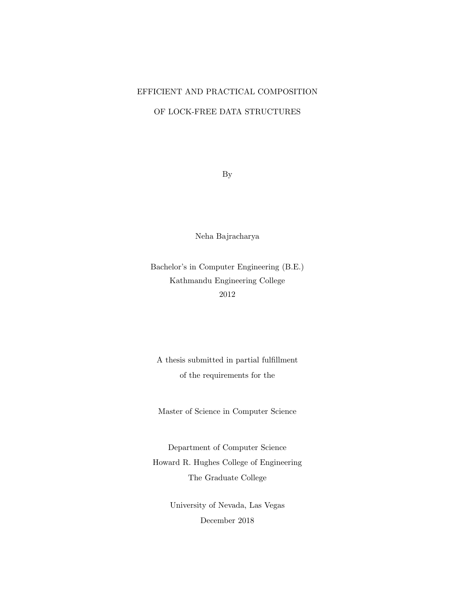#### EFFICIENT AND PRACTICAL COMPOSITION

### OF LOCK-FREE DATA STRUCTURES

By

Neha Bajracharya

Bachelor's in Computer Engineering (B.E.) Kathmandu Engineering College 2012

A thesis submitted in partial fulfillment of the requirements for the

Master of Science in Computer Science

Department of Computer Science Howard R. Hughes College of Engineering The Graduate College

> University of Nevada, Las Vegas December 2018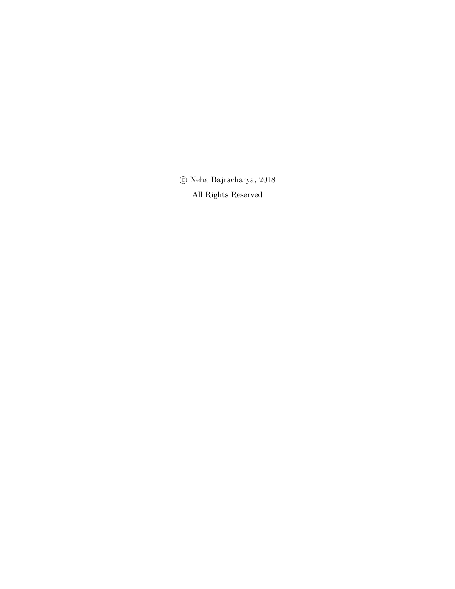$\odot$  Neha Bajracharya, 2018 All Rights Reserved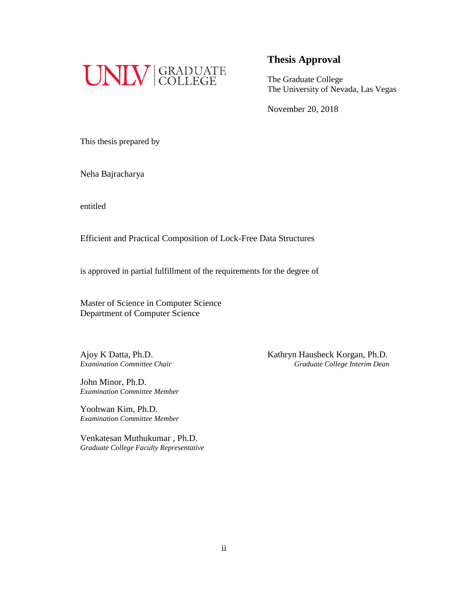

The Graduate College The University of Nevada, Las Vegas

November 20, 2018

This thesis prepared by

Neha Bajracharya

entitled

Efficient and Practical Composition of Lock-Free Data Structures

is approved in partial fulfillment of the requirements for the degree of

Master of Science in Computer Science Department of Computer Science

John Minor, Ph.D. *Examination Committee Member*

Yoohwan Kim, Ph.D. *Examination Committee Member*

Venkatesan Muthukumar , Ph.D. *Graduate College Faculty Representative*

Ajoy K Datta, Ph.D.<br>
Examination Committee Chair<br>
Graduate College Interim Dean *Examination Committee Chair Graduate College Interim Dean*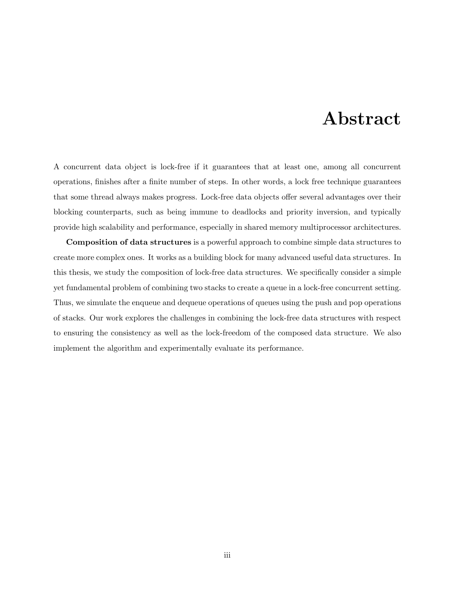### Abstract

A concurrent data object is lock-free if it guarantees that at least one, among all concurrent operations, finishes after a finite number of steps. In other words, a lock free technique guarantees that some thread always makes progress. Lock-free data objects offer several advantages over their blocking counterparts, such as being immune to deadlocks and priority inversion, and typically provide high scalability and performance, especially in shared memory multiprocessor architectures.

Composition of data structures is a powerful approach to combine simple data structures to create more complex ones. It works as a building block for many advanced useful data structures. In this thesis, we study the composition of lock-free data structures. We specifically consider a simple yet fundamental problem of combining two stacks to create a queue in a lock-free concurrent setting. Thus, we simulate the enqueue and dequeue operations of queues using the push and pop operations of stacks. Our work explores the challenges in combining the lock-free data structures with respect to ensuring the consistency as well as the lock-freedom of the composed data structure. We also implement the algorithm and experimentally evaluate its performance.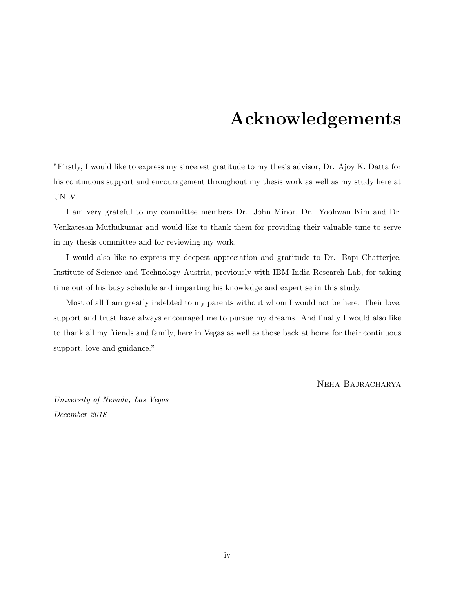### Acknowledgements

"Firstly, I would like to express my sincerest gratitude to my thesis advisor, Dr. Ajoy K. Datta for his continuous support and encouragement throughout my thesis work as well as my study here at UNLV.

I am very grateful to my committee members Dr. John Minor, Dr. Yoohwan Kim and Dr. Venkatesan Muthukumar and would like to thank them for providing their valuable time to serve in my thesis committee and for reviewing my work.

I would also like to express my deepest appreciation and gratitude to Dr. Bapi Chatterjee, Institute of Science and Technology Austria, previously with IBM India Research Lab, for taking time out of his busy schedule and imparting his knowledge and expertise in this study.

Most of all I am greatly indebted to my parents without whom I would not be here. Their love, support and trust have always encouraged me to pursue my dreams. And finally I would also like to thank all my friends and family, here in Vegas as well as those back at home for their continuous support, love and guidance."

Neha Bajracharya

University of Nevada, Las Vegas December 2018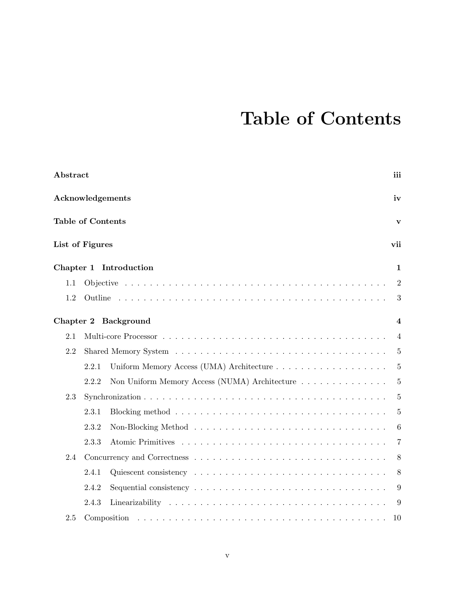### Table of Contents

| Abstract |                                                        | iii                     |
|----------|--------------------------------------------------------|-------------------------|
|          | Acknowledgements                                       | iv                      |
|          | <b>Table of Contents</b>                               | $\mathbf{v}$            |
|          | List of Figures                                        | vii                     |
|          | Chapter 1 Introduction                                 | 1                       |
| 1.1      |                                                        | $\overline{2}$          |
| 1.2      |                                                        | 3                       |
|          | Chapter 2 Background                                   | $\overline{\mathbf{4}}$ |
| 2.1      |                                                        | 4                       |
| 2.2      |                                                        | 5                       |
|          | 2.2.1                                                  | $\overline{5}$          |
|          | 2.2.2<br>Non Uniform Memory Access (NUMA) Architecture | 5                       |
| 2.3      |                                                        | 5                       |
|          | 2.3.1                                                  | 5                       |
|          | 2.3.2                                                  | 6                       |
|          | 2.3.3                                                  | 7                       |
| 2.4      |                                                        | 8                       |
|          | 2.4.1                                                  | 8                       |
|          | 2.4.2                                                  | 9                       |
|          | 2.4.3                                                  | 9                       |
| 2.5      | Composition                                            | 10                      |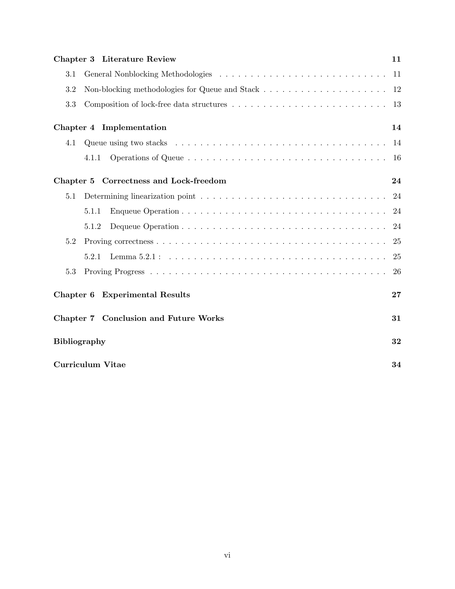|           | <b>Chapter 3 Literature Review</b>                                                               | 11 |
|-----------|--------------------------------------------------------------------------------------------------|----|
| 3.1       |                                                                                                  | 11 |
| 3.2       |                                                                                                  | 12 |
| 3.3       | Composition of lock-free data structures $\dots \dots \dots \dots \dots \dots \dots \dots \dots$ | 13 |
|           | Chapter 4 Implementation                                                                         | 14 |
| 4.1       |                                                                                                  | 14 |
|           | 4.1.1                                                                                            | 16 |
|           | Chapter 5 Correctness and Lock-freedom                                                           | 24 |
| 5.1       |                                                                                                  | 24 |
|           | 5.1.1                                                                                            | 24 |
|           | 5.1.2                                                                                            | 24 |
| 5.2       |                                                                                                  | 25 |
|           | 5.2.1                                                                                            | 25 |
| 5.3       |                                                                                                  | 26 |
| Chapter 6 | <b>Experimental Results</b>                                                                      | 27 |
|           | Chapter 7 Conclusion and Future Works                                                            | 31 |
|           | <b>Bibliography</b>                                                                              | 32 |
|           | Curriculum Vitae                                                                                 | 34 |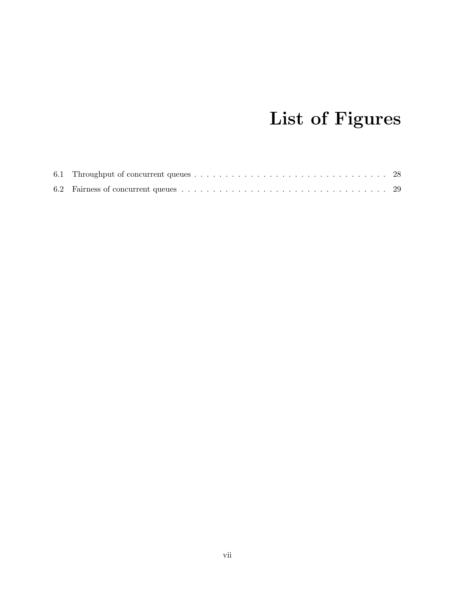## List of Figures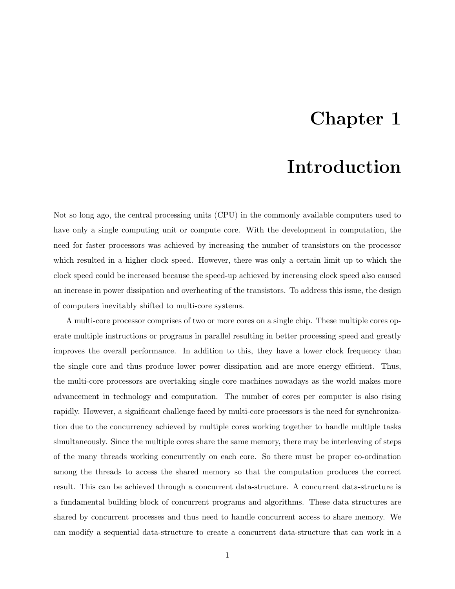### Chapter 1

### Introduction

Not so long ago, the central processing units (CPU) in the commonly available computers used to have only a single computing unit or compute core. With the development in computation, the need for faster processors was achieved by increasing the number of transistors on the processor which resulted in a higher clock speed. However, there was only a certain limit up to which the clock speed could be increased because the speed-up achieved by increasing clock speed also caused an increase in power dissipation and overheating of the transistors. To address this issue, the design of computers inevitably shifted to multi-core systems.

A multi-core processor comprises of two or more cores on a single chip. These multiple cores operate multiple instructions or programs in parallel resulting in better processing speed and greatly improves the overall performance. In addition to this, they have a lower clock frequency than the single core and thus produce lower power dissipation and are more energy efficient. Thus, the multi-core processors are overtaking single core machines nowadays as the world makes more advancement in technology and computation. The number of cores per computer is also rising rapidly. However, a significant challenge faced by multi-core processors is the need for synchronization due to the concurrency achieved by multiple cores working together to handle multiple tasks simultaneously. Since the multiple cores share the same memory, there may be interleaving of steps of the many threads working concurrently on each core. So there must be proper co-ordination among the threads to access the shared memory so that the computation produces the correct result. This can be achieved through a concurrent data-structure. A concurrent data-structure is a fundamental building block of concurrent programs and algorithms. These data structures are shared by concurrent processes and thus need to handle concurrent access to share memory. We can modify a sequential data-structure to create a concurrent data-structure that can work in a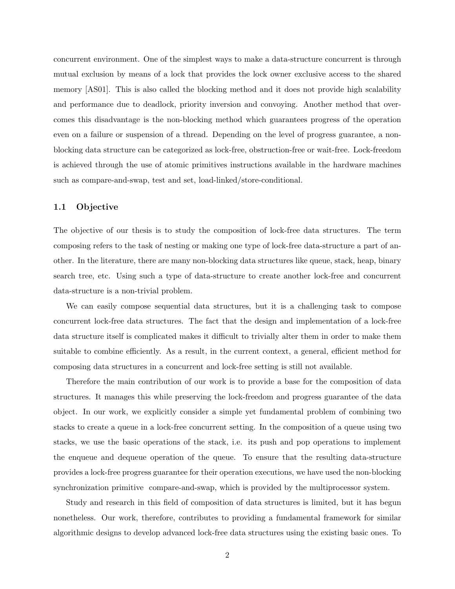concurrent environment. One of the simplest ways to make a data-structure concurrent is through mutual exclusion by means of a lock that provides the lock owner exclusive access to the shared memory [AS01]. This is also called the blocking method and it does not provide high scalability and performance due to deadlock, priority inversion and convoying. Another method that overcomes this disadvantage is the non-blocking method which guarantees progress of the operation even on a failure or suspension of a thread. Depending on the level of progress guarantee, a nonblocking data structure can be categorized as lock-free, obstruction-free or wait-free. Lock-freedom is achieved through the use of atomic primitives instructions available in the hardware machines such as compare-and-swap, test and set, load-linked/store-conditional.

#### 1.1 Objective

The objective of our thesis is to study the composition of lock-free data structures. The term composing refers to the task of nesting or making one type of lock-free data-structure a part of another. In the literature, there are many non-blocking data structures like queue, stack, heap, binary search tree, etc. Using such a type of data-structure to create another lock-free and concurrent data-structure is a non-trivial problem.

We can easily compose sequential data structures, but it is a challenging task to compose concurrent lock-free data structures. The fact that the design and implementation of a lock-free data structure itself is complicated makes it difficult to trivially alter them in order to make them suitable to combine efficiently. As a result, in the current context, a general, efficient method for composing data structures in a concurrent and lock-free setting is still not available.

Therefore the main contribution of our work is to provide a base for the composition of data structures. It manages this while preserving the lock-freedom and progress guarantee of the data object. In our work, we explicitly consider a simple yet fundamental problem of combining two stacks to create a queue in a lock-free concurrent setting. In the composition of a queue using two stacks, we use the basic operations of the stack, i.e. its push and pop operations to implement the enqueue and dequeue operation of the queue. To ensure that the resulting data-structure provides a lock-free progress guarantee for their operation executions, we have used the non-blocking synchronization primitive compare-and-swap, which is provided by the multiprocessor system.

Study and research in this field of composition of data structures is limited, but it has begun nonetheless. Our work, therefore, contributes to providing a fundamental framework for similar algorithmic designs to develop advanced lock-free data structures using the existing basic ones. To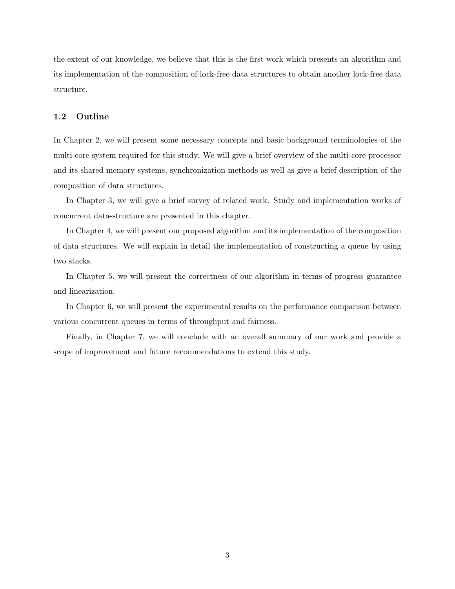the extent of our knowledge, we believe that this is the first work which presents an algorithm and its implementation of the composition of lock-free data structures to obtain another lock-free data structure.

#### 1.2 Outline

In Chapter 2, we will present some necessary concepts and basic background terminologies of the multi-core system required for this study. We will give a brief overview of the multi-core processor and its shared memory systems, synchronization methods as well as give a brief description of the composition of data structures.

In Chapter 3, we will give a brief survey of related work. Study and implementation works of concurrent data-structure are presented in this chapter.

In Chapter 4, we will present our proposed algorithm and its implementation of the composition of data structures. We will explain in detail the implementation of constructing a queue by using two stacks.

In Chapter 5, we will present the correctness of our algorithm in terms of progress guarantee and linearization.

In Chapter 6, we will present the experimental results on the performance comparison between various concurrent queues in terms of throughput and fairness.

Finally, in Chapter 7, we will conclude with an overall summary of our work and provide a scope of improvement and future recommendations to extend this study.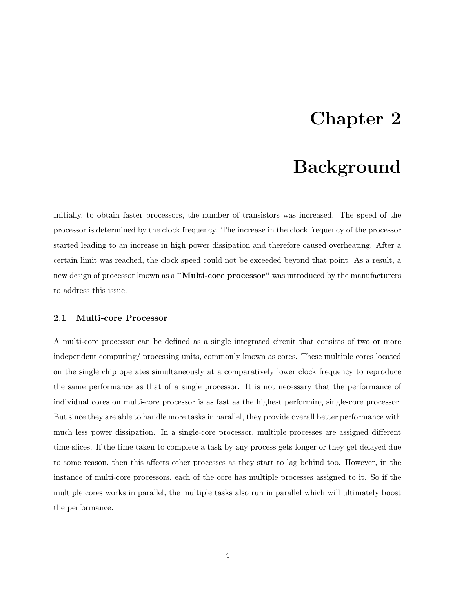### Chapter 2

### Background

Initially, to obtain faster processors, the number of transistors was increased. The speed of the processor is determined by the clock frequency. The increase in the clock frequency of the processor started leading to an increase in high power dissipation and therefore caused overheating. After a certain limit was reached, the clock speed could not be exceeded beyond that point. As a result, a new design of processor known as a "Multi-core processor" was introduced by the manufacturers to address this issue.

#### 2.1 Multi-core Processor

A multi-core processor can be defined as a single integrated circuit that consists of two or more independent computing/ processing units, commonly known as cores. These multiple cores located on the single chip operates simultaneously at a comparatively lower clock frequency to reproduce the same performance as that of a single processor. It is not necessary that the performance of individual cores on multi-core processor is as fast as the highest performing single-core processor. But since they are able to handle more tasks in parallel, they provide overall better performance with much less power dissipation. In a single-core processor, multiple processes are assigned different time-slices. If the time taken to complete a task by any process gets longer or they get delayed due to some reason, then this affects other processes as they start to lag behind too. However, in the instance of multi-core processors, each of the core has multiple processes assigned to it. So if the multiple cores works in parallel, the multiple tasks also run in parallel which will ultimately boost the performance.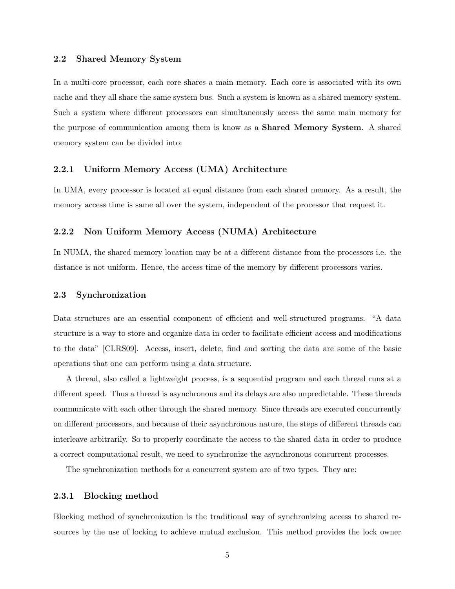#### 2.2 Shared Memory System

In a multi-core processor, each core shares a main memory. Each core is associated with its own cache and they all share the same system bus. Such a system is known as a shared memory system. Such a system where different processors can simultaneously access the same main memory for the purpose of communication among them is know as a Shared Memory System. A shared memory system can be divided into:

#### 2.2.1 Uniform Memory Access (UMA) Architecture

In UMA, every processor is located at equal distance from each shared memory. As a result, the memory access time is same all over the system, independent of the processor that request it.

#### 2.2.2 Non Uniform Memory Access (NUMA) Architecture

In NUMA, the shared memory location may be at a different distance from the processors i.e. the distance is not uniform. Hence, the access time of the memory by different processors varies.

#### 2.3 Synchronization

Data structures are an essential component of efficient and well-structured programs. "A data structure is a way to store and organize data in order to facilitate efficient access and modifications to the data" [CLRS09]. Access, insert, delete, find and sorting the data are some of the basic operations that one can perform using a data structure.

A thread, also called a lightweight process, is a sequential program and each thread runs at a different speed. Thus a thread is asynchronous and its delays are also unpredictable. These threads communicate with each other through the shared memory. Since threads are executed concurrently on different processors, and because of their asynchronous nature, the steps of different threads can interleave arbitrarily. So to properly coordinate the access to the shared data in order to produce a correct computational result, we need to synchronize the asynchronous concurrent processes.

The synchronization methods for a concurrent system are of two types. They are:

#### 2.3.1 Blocking method

Blocking method of synchronization is the traditional way of synchronizing access to shared resources by the use of locking to achieve mutual exclusion. This method provides the lock owner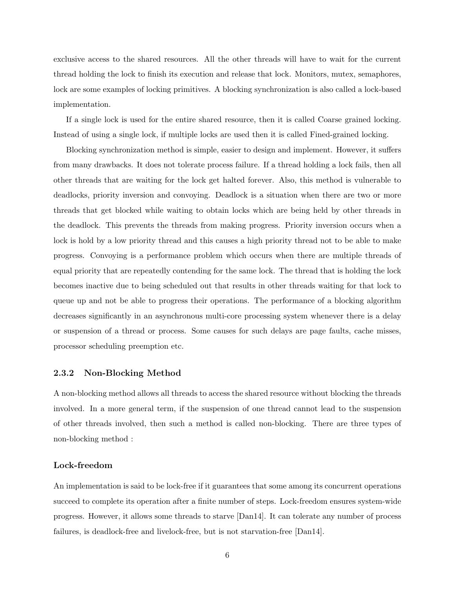exclusive access to the shared resources. All the other threads will have to wait for the current thread holding the lock to finish its execution and release that lock. Monitors, mutex, semaphores, lock are some examples of locking primitives. A blocking synchronization is also called a lock-based implementation.

If a single lock is used for the entire shared resource, then it is called Coarse grained locking. Instead of using a single lock, if multiple locks are used then it is called Fined-grained locking.

Blocking synchronization method is simple, easier to design and implement. However, it suffers from many drawbacks. It does not tolerate process failure. If a thread holding a lock fails, then all other threads that are waiting for the lock get halted forever. Also, this method is vulnerable to deadlocks, priority inversion and convoying. Deadlock is a situation when there are two or more threads that get blocked while waiting to obtain locks which are being held by other threads in the deadlock. This prevents the threads from making progress. Priority inversion occurs when a lock is hold by a low priority thread and this causes a high priority thread not to be able to make progress. Convoying is a performance problem which occurs when there are multiple threads of equal priority that are repeatedly contending for the same lock. The thread that is holding the lock becomes inactive due to being scheduled out that results in other threads waiting for that lock to queue up and not be able to progress their operations. The performance of a blocking algorithm decreases significantly in an asynchronous multi-core processing system whenever there is a delay or suspension of a thread or process. Some causes for such delays are page faults, cache misses, processor scheduling preemption etc.

#### 2.3.2 Non-Blocking Method

A non-blocking method allows all threads to access the shared resource without blocking the threads involved. In a more general term, if the suspension of one thread cannot lead to the suspension of other threads involved, then such a method is called non-blocking. There are three types of non-blocking method :

#### Lock-freedom

An implementation is said to be lock-free if it guarantees that some among its concurrent operations succeed to complete its operation after a finite number of steps. Lock-freedom ensures system-wide progress. However, it allows some threads to starve [Dan14]. It can tolerate any number of process failures, is deadlock-free and livelock-free, but is not starvation-free [Dan14].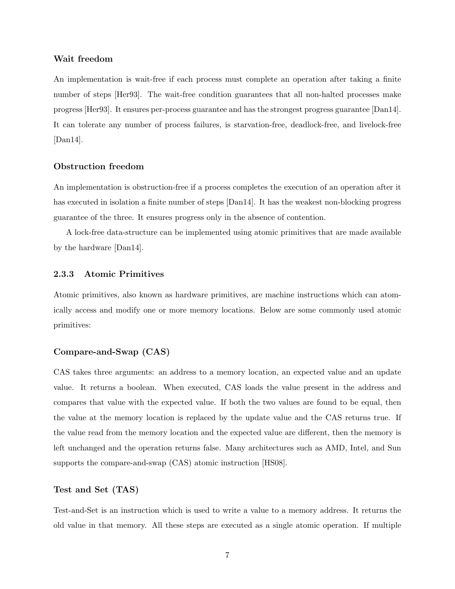#### Wait freedom

An implementation is wait-free if each process must complete an operation after taking a finite number of steps [Her93]. The wait-free condition guarantees that all non-halted processes make progress [Her93]. It ensures per-process guarantee and has the strongest progress guarantee [Dan14]. It can tolerate any number of process failures, is starvation-free, deadlock-free, and livelock-free [Dan14].

#### Obstruction freedom

An implementation is obstruction-free if a process completes the execution of an operation after it has executed in isolation a finite number of steps [Dan14]. It has the weakest non-blocking progress guarantee of the three. It ensures progress only in the absence of contention.

A lock-free data-structure can be implemented using atomic primitives that are made available by the hardware [Dan14].

#### 2.3.3 Atomic Primitives

Atomic primitives, also known as hardware primitives, are machine instructions which can atomically access and modify one or more memory locations. Below are some commonly used atomic primitives:

#### Compare-and-Swap (CAS)

CAS takes three arguments: an address to a memory location, an expected value and an update value. It returns a boolean. When executed, CAS loads the value present in the address and compares that value with the expected value. If both the two values are found to be equal, then the value at the memory location is replaced by the update value and the CAS returns true. If the value read from the memory location and the expected value are different, then the memory is left unchanged and the operation returns false. Many architectures such as AMD, Intel, and Sun supports the compare-and-swap (CAS) atomic instruction [HS08].

#### Test and Set (TAS)

Test-and-Set is an instruction which is used to write a value to a memory address. It returns the old value in that memory. All these steps are executed as a single atomic operation. If multiple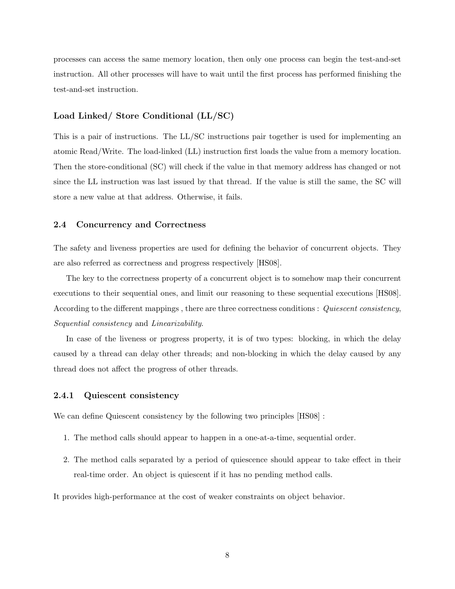processes can access the same memory location, then only one process can begin the test-and-set instruction. All other processes will have to wait until the first process has performed finishing the test-and-set instruction.

#### Load Linked/ Store Conditional (LL/SC)

This is a pair of instructions. The LL/SC instructions pair together is used for implementing an atomic Read/Write. The load-linked (LL) instruction first loads the value from a memory location. Then the store-conditional (SC) will check if the value in that memory address has changed or not since the LL instruction was last issued by that thread. If the value is still the same, the SC will store a new value at that address. Otherwise, it fails.

#### 2.4 Concurrency and Correctness

The safety and liveness properties are used for defining the behavior of concurrent objects. They are also referred as correctness and progress respectively [HS08].

The key to the correctness property of a concurrent object is to somehow map their concurrent executions to their sequential ones, and limit our reasoning to these sequential executions [HS08]. According to the different mappings, there are three correctness conditions : Quiescent consistency, Sequential consistency and Linearizability.

In case of the liveness or progress property, it is of two types: blocking, in which the delay caused by a thread can delay other threads; and non-blocking in which the delay caused by any thread does not affect the progress of other threads.

#### 2.4.1 Quiescent consistency

We can define Quiescent consistency by the following two principles [HS08] :

- 1. The method calls should appear to happen in a one-at-a-time, sequential order.
- 2. The method calls separated by a period of quiescence should appear to take effect in their real-time order. An object is quiescent if it has no pending method calls.

It provides high-performance at the cost of weaker constraints on object behavior.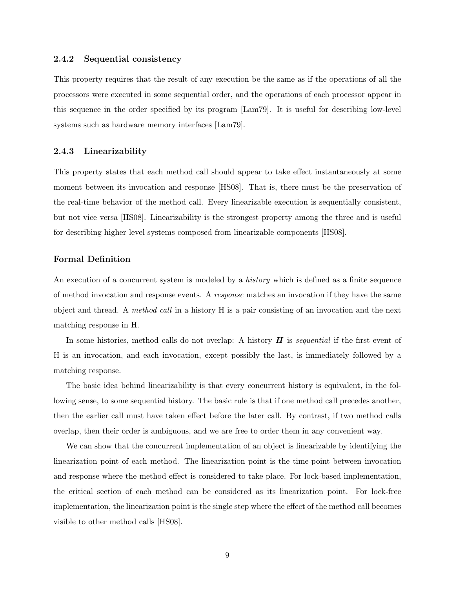#### 2.4.2 Sequential consistency

This property requires that the result of any execution be the same as if the operations of all the processors were executed in some sequential order, and the operations of each processor appear in this sequence in the order specified by its program [Lam79]. It is useful for describing low-level systems such as hardware memory interfaces [Lam79].

#### 2.4.3 Linearizability

This property states that each method call should appear to take effect instantaneously at some moment between its invocation and response [HS08]. That is, there must be the preservation of the real-time behavior of the method call. Every linearizable execution is sequentially consistent, but not vice versa [HS08]. Linearizability is the strongest property among the three and is useful for describing higher level systems composed from linearizable components [HS08].

#### Formal Definition

An execution of a concurrent system is modeled by a *history* which is defined as a finite sequence of method invocation and response events. A response matches an invocation if they have the same object and thread. A method call in a history H is a pair consisting of an invocation and the next matching response in H.

In some histories, method calls do not overlap: A history  $H$  is sequential if the first event of H is an invocation, and each invocation, except possibly the last, is immediately followed by a matching response.

The basic idea behind linearizability is that every concurrent history is equivalent, in the following sense, to some sequential history. The basic rule is that if one method call precedes another, then the earlier call must have taken effect before the later call. By contrast, if two method calls overlap, then their order is ambiguous, and we are free to order them in any convenient way.

We can show that the concurrent implementation of an object is linearizable by identifying the linearization point of each method. The linearization point is the time-point between invocation and response where the method effect is considered to take place. For lock-based implementation, the critical section of each method can be considered as its linearization point. For lock-free implementation, the linearization point is the single step where the effect of the method call becomes visible to other method calls [HS08].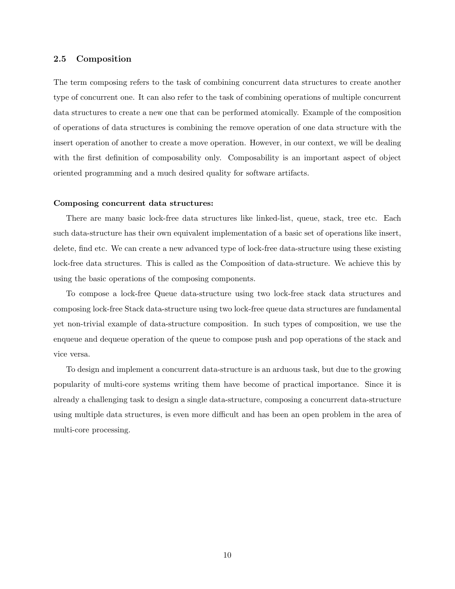#### 2.5 Composition

The term composing refers to the task of combining concurrent data structures to create another type of concurrent one. It can also refer to the task of combining operations of multiple concurrent data structures to create a new one that can be performed atomically. Example of the composition of operations of data structures is combining the remove operation of one data structure with the insert operation of another to create a move operation. However, in our context, we will be dealing with the first definition of composability only. Composability is an important aspect of object oriented programming and a much desired quality for software artifacts.

#### Composing concurrent data structures:

There are many basic lock-free data structures like linked-list, queue, stack, tree etc. Each such data-structure has their own equivalent implementation of a basic set of operations like insert, delete, find etc. We can create a new advanced type of lock-free data-structure using these existing lock-free data structures. This is called as the Composition of data-structure. We achieve this by using the basic operations of the composing components.

To compose a lock-free Queue data-structure using two lock-free stack data structures and composing lock-free Stack data-structure using two lock-free queue data structures are fundamental yet non-trivial example of data-structure composition. In such types of composition, we use the enqueue and dequeue operation of the queue to compose push and pop operations of the stack and vice versa.

To design and implement a concurrent data-structure is an arduous task, but due to the growing popularity of multi-core systems writing them have become of practical importance. Since it is already a challenging task to design a single data-structure, composing a concurrent data-structure using multiple data structures, is even more difficult and has been an open problem in the area of multi-core processing.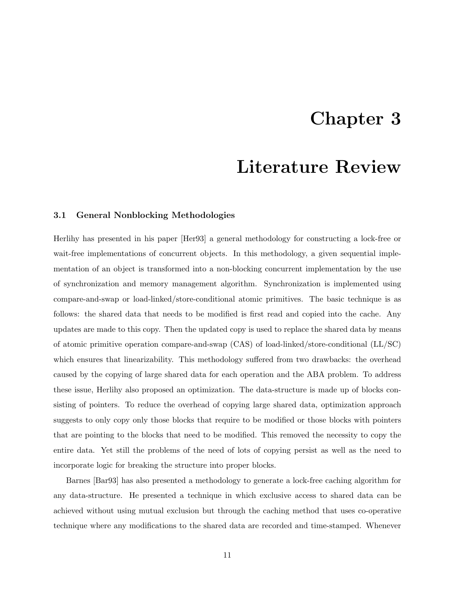### Chapter 3

### Literature Review

#### 3.1 General Nonblocking Methodologies

Herlihy has presented in his paper [Her93] a general methodology for constructing a lock-free or wait-free implementations of concurrent objects. In this methodology, a given sequential implementation of an object is transformed into a non-blocking concurrent implementation by the use of synchronization and memory management algorithm. Synchronization is implemented using compare-and-swap or load-linked/store-conditional atomic primitives. The basic technique is as follows: the shared data that needs to be modified is first read and copied into the cache. Any updates are made to this copy. Then the updated copy is used to replace the shared data by means of atomic primitive operation compare-and-swap (CAS) of load-linked/store-conditional (LL/SC) which ensures that linearizability. This methodology suffered from two drawbacks: the overhead caused by the copying of large shared data for each operation and the ABA problem. To address these issue, Herlihy also proposed an optimization. The data-structure is made up of blocks consisting of pointers. To reduce the overhead of copying large shared data, optimization approach suggests to only copy only those blocks that require to be modified or those blocks with pointers that are pointing to the blocks that need to be modified. This removed the necessity to copy the entire data. Yet still the problems of the need of lots of copying persist as well as the need to incorporate logic for breaking the structure into proper blocks.

Barnes [Bar93] has also presented a methodology to generate a lock-free caching algorithm for any data-structure. He presented a technique in which exclusive access to shared data can be achieved without using mutual exclusion but through the caching method that uses co-operative technique where any modifications to the shared data are recorded and time-stamped. Whenever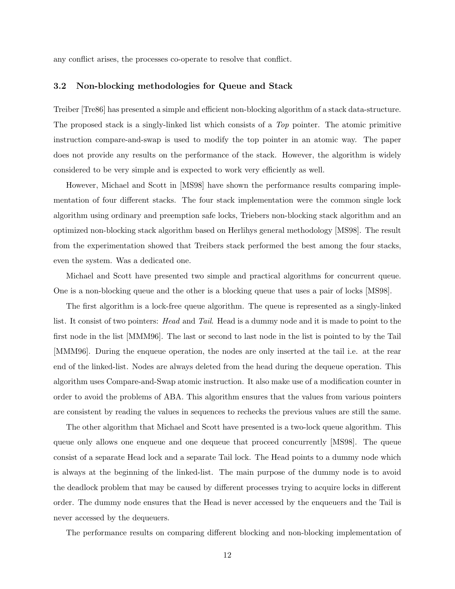any conflict arises, the processes co-operate to resolve that conflict.

#### 3.2 Non-blocking methodologies for Queue and Stack

Treiber [Tre86] has presented a simple and efficient non-blocking algorithm of a stack data-structure. The proposed stack is a singly-linked list which consists of a Top pointer. The atomic primitive instruction compare-and-swap is used to modify the top pointer in an atomic way. The paper does not provide any results on the performance of the stack. However, the algorithm is widely considered to be very simple and is expected to work very efficiently as well.

However, Michael and Scott in [MS98] have shown the performance results comparing implementation of four different stacks. The four stack implementation were the common single lock algorithm using ordinary and preemption safe locks, Triebers non-blocking stack algorithm and an optimized non-blocking stack algorithm based on Herlihys general methodology [MS98]. The result from the experimentation showed that Treibers stack performed the best among the four stacks, even the system. Was a dedicated one.

Michael and Scott have presented two simple and practical algorithms for concurrent queue. One is a non-blocking queue and the other is a blocking queue that uses a pair of locks [MS98].

The first algorithm is a lock-free queue algorithm. The queue is represented as a singly-linked list. It consist of two pointers: *Head* and Tail. Head is a dummy node and it is made to point to the first node in the list [MMM96]. The last or second to last node in the list is pointed to by the Tail [MMM96]. During the enqueue operation, the nodes are only inserted at the tail i.e. at the rear end of the linked-list. Nodes are always deleted from the head during the dequeue operation. This algorithm uses Compare-and-Swap atomic instruction. It also make use of a modification counter in order to avoid the problems of ABA. This algorithm ensures that the values from various pointers are consistent by reading the values in sequences to rechecks the previous values are still the same.

The other algorithm that Michael and Scott have presented is a two-lock queue algorithm. This queue only allows one enqueue and one dequeue that proceed concurrently [MS98]. The queue consist of a separate Head lock and a separate Tail lock. The Head points to a dummy node which is always at the beginning of the linked-list. The main purpose of the dummy node is to avoid the deadlock problem that may be caused by different processes trying to acquire locks in different order. The dummy node ensures that the Head is never accessed by the enqueuers and the Tail is never accessed by the dequeuers.

The performance results on comparing different blocking and non-blocking implementation of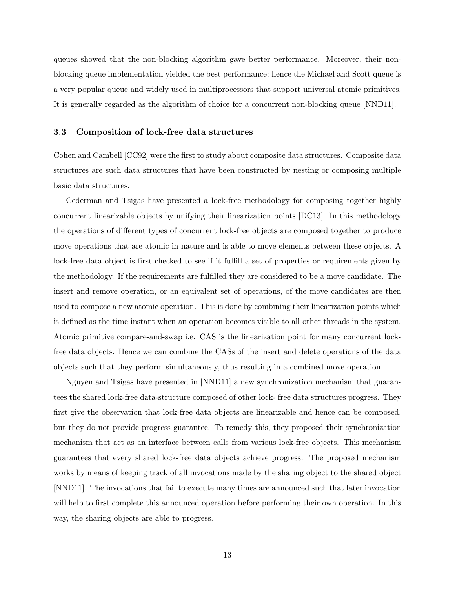queues showed that the non-blocking algorithm gave better performance. Moreover, their nonblocking queue implementation yielded the best performance; hence the Michael and Scott queue is a very popular queue and widely used in multiprocessors that support universal atomic primitives. It is generally regarded as the algorithm of choice for a concurrent non-blocking queue [NND11].

#### 3.3 Composition of lock-free data structures

Cohen and Cambell [CC92] were the first to study about composite data structures. Composite data structures are such data structures that have been constructed by nesting or composing multiple basic data structures.

Cederman and Tsigas have presented a lock-free methodology for composing together highly concurrent linearizable objects by unifying their linearization points [DC13]. In this methodology the operations of different types of concurrent lock-free objects are composed together to produce move operations that are atomic in nature and is able to move elements between these objects. A lock-free data object is first checked to see if it fulfill a set of properties or requirements given by the methodology. If the requirements are fulfilled they are considered to be a move candidate. The insert and remove operation, or an equivalent set of operations, of the move candidates are then used to compose a new atomic operation. This is done by combining their linearization points which is defined as the time instant when an operation becomes visible to all other threads in the system. Atomic primitive compare-and-swap i.e. CAS is the linearization point for many concurrent lockfree data objects. Hence we can combine the CASs of the insert and delete operations of the data objects such that they perform simultaneously, thus resulting in a combined move operation.

Nguyen and Tsigas have presented in [NND11] a new synchronization mechanism that guarantees the shared lock-free data-structure composed of other lock- free data structures progress. They first give the observation that lock-free data objects are linearizable and hence can be composed, but they do not provide progress guarantee. To remedy this, they proposed their synchronization mechanism that act as an interface between calls from various lock-free objects. This mechanism guarantees that every shared lock-free data objects achieve progress. The proposed mechanism works by means of keeping track of all invocations made by the sharing object to the shared object [NND11]. The invocations that fail to execute many times are announced such that later invocation will help to first complete this announced operation before performing their own operation. In this way, the sharing objects are able to progress.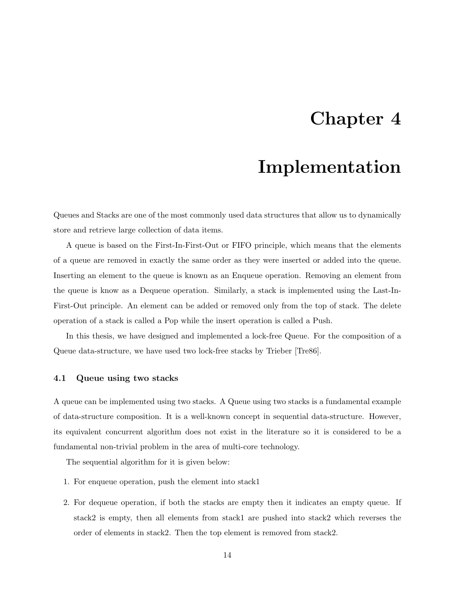### Chapter 4

### Implementation

Queues and Stacks are one of the most commonly used data structures that allow us to dynamically store and retrieve large collection of data items.

A queue is based on the First-In-First-Out or FIFO principle, which means that the elements of a queue are removed in exactly the same order as they were inserted or added into the queue. Inserting an element to the queue is known as an Enqueue operation. Removing an element from the queue is know as a Dequeue operation. Similarly, a stack is implemented using the Last-In-First-Out principle. An element can be added or removed only from the top of stack. The delete operation of a stack is called a Pop while the insert operation is called a Push.

In this thesis, we have designed and implemented a lock-free Queue. For the composition of a Queue data-structure, we have used two lock-free stacks by Trieber [Tre86].

#### 4.1 Queue using two stacks

A queue can be implemented using two stacks. A Queue using two stacks is a fundamental example of data-structure composition. It is a well-known concept in sequential data-structure. However, its equivalent concurrent algorithm does not exist in the literature so it is considered to be a fundamental non-trivial problem in the area of multi-core technology.

The sequential algorithm for it is given below:

- 1. For enqueue operation, push the element into stack1
- 2. For dequeue operation, if both the stacks are empty then it indicates an empty queue. If stack2 is empty, then all elements from stack1 are pushed into stack2 which reverses the order of elements in stack2. Then the top element is removed from stack2.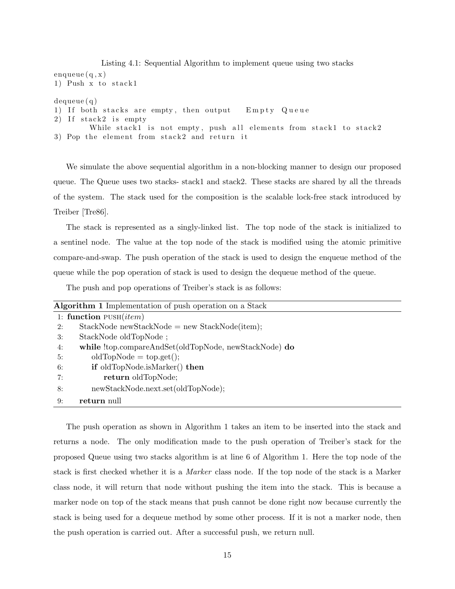```
Listing 4.1: Sequential Algorithm to implement queue using two stacks
enqueue(q, x)1) Push x to stack 1
dequeue ( q )
1) If both stacks are empty, then output Empty Queue
2) If stack2 is empty
        While stack1 is not empty, push all elements from stack1 to stack2
3) Pop the element from stack2 and return it
```
We simulate the above sequential algorithm in a non-blocking manner to design our proposed queue. The Queue uses two stacks- stack1 and stack2. These stacks are shared by all the threads of the system. The stack used for the composition is the scalable lock-free stack introduced by Treiber [Tre86].

The stack is represented as a singly-linked list. The top node of the stack is initialized to a sentinel node. The value at the top node of the stack is modified using the atomic primitive compare-and-swap. The push operation of the stack is used to design the enqueue method of the queue while the pop operation of stack is used to design the dequeue method of the queue.

The push and pop operations of Treiber's stack is as follows:

| Algorithm 1 Implementation of push operation on a Stack |                                                       |
|---------------------------------------------------------|-------------------------------------------------------|
|                                                         | 1: function $PUSH(item)$                              |
| 2:                                                      | $StackNode newStackNode = new StackNode(item);$       |
| 3:                                                      | StackNode oldTopNode;                                 |
| 4:                                                      | while !top.compareAndSet(oldTopNode, newStackNode) do |
| 5:                                                      | $oldTopNode = top.get();$                             |
| 6:                                                      | if oldTopNode.isMarker() then                         |
| 7:                                                      | return oldTopNode;                                    |
| 8:                                                      | newStackNode.next.set(oldTopNode);                    |
| 9:                                                      | return null                                           |

The push operation as shown in Algorithm 1 takes an item to be inserted into the stack and returns a node. The only modification made to the push operation of Treiber's stack for the proposed Queue using two stacks algorithm is at line 6 of Algorithm 1. Here the top node of the stack is first checked whether it is a Marker class node. If the top node of the stack is a Marker class node, it will return that node without pushing the item into the stack. This is because a marker node on top of the stack means that push cannot be done right now because currently the stack is being used for a dequeue method by some other process. If it is not a marker node, then the push operation is carried out. After a successful push, we return null.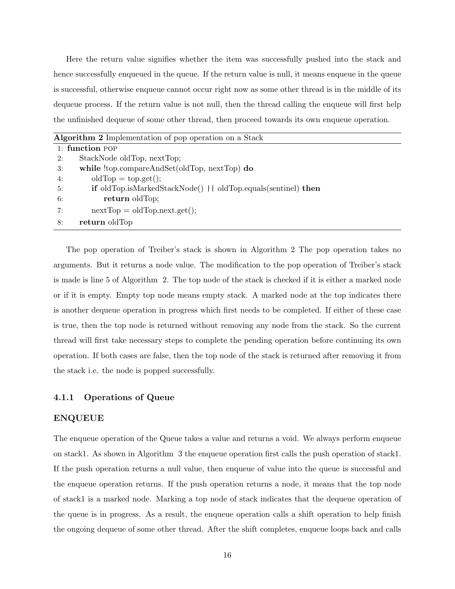Here the return value signifies whether the item was successfully pushed into the stack and hence successfully enqueued in the queue. If the return value is null, it means enqueue in the queue is successful, otherwise enqueue cannot occur right now as some other thread is in the middle of its dequeue process. If the return value is not null, then the thread calling the enqueue will first help the unfinished dequeue of some other thread, then proceed towards its own enqueue operation.

| Algorithm 2 Implementation of pop operation on a Stack                             |  |
|------------------------------------------------------------------------------------|--|
| $1:$ function POP                                                                  |  |
| StackNode oldTop, nextTop;<br>2:                                                   |  |
| while !top.compareAndSet(oldTop, nextTop) do<br>3:                                 |  |
| $oldTop = top.get()$ ;<br>4:                                                       |  |
| <b>if</b> oldTop.isMarkedStackNode()     oldTop.equals(sentinel) <b>then</b><br>5: |  |
| return oldTop;<br>6:                                                               |  |
| $nextTop = oldTop.next.get();$<br>7:                                               |  |
| return oldTop<br>8:                                                                |  |

The pop operation of Treiber's stack is shown in Algorithm 2 The pop operation takes no arguments. But it returns a node value. The modification to the pop operation of Treiber's stack is made is line 5 of Algorithm 2. The top node of the stack is checked if it is either a marked node or if it is empty. Empty top node means empty stack. A marked node at the top indicates there is another dequeue operation in progress which first needs to be completed. If either of these case is true, then the top node is returned without removing any node from the stack. So the current thread will first take necessary steps to complete the pending operation before continuing its own operation. If both cases are false, then the top node of the stack is returned after removing it from the stack i.e. the node is popped successfully.

#### 4.1.1 Operations of Queue

#### ENQUEUE

The enqueue operation of the Queue takes a value and returns a void. We always perform enqueue on stack1. As shown in Algorithm 3 the enqueue operation first calls the push operation of stack1. If the push operation returns a null value, then enqueue of value into the queue is successful and the enqueue operation returns. If the push operation returns a node, it means that the top node of stack1 is a marked node. Marking a top node of stack indicates that the dequeue operation of the queue is in progress. As a result, the enqueue operation calls a shift operation to help finish the ongoing dequeue of some other thread. After the shift completes, enqueue loops back and calls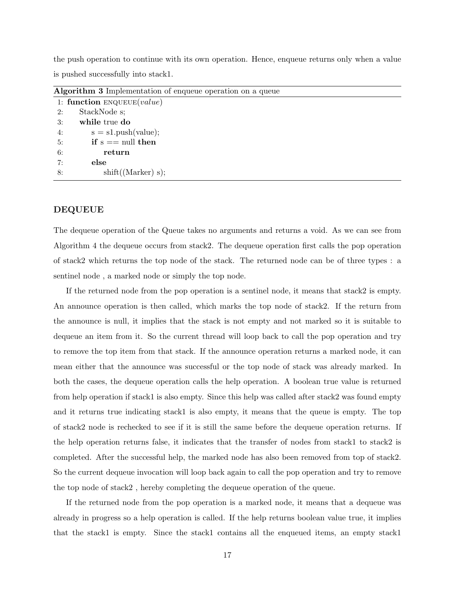the push operation to continue with its own operation. Hence, enqueue returns only when a value is pushed successfully into stack1.

| <b>Algorithm 5</b> implementation of enquelle operation on a queue |                              |  |
|--------------------------------------------------------------------|------------------------------|--|
|                                                                    | 1: function $ENQUEUE(value)$ |  |
| 2:                                                                 | StackNode s;                 |  |
| 3:                                                                 | while true do                |  |
| 4:                                                                 | $s = s1.push(value);$        |  |
| 5:                                                                 | if $s == null$ then          |  |
| 6:                                                                 | return                       |  |
| 7:                                                                 | else                         |  |
| 8:                                                                 | shift((Market) s);           |  |

Algorithm 3 Implementation of enqueue operation on a queue

#### DEQUEUE

The dequeue operation of the Queue takes no arguments and returns a void. As we can see from Algorithm 4 the dequeue occurs from stack2. The dequeue operation first calls the pop operation of stack2 which returns the top node of the stack. The returned node can be of three types : a sentinel node , a marked node or simply the top node.

If the returned node from the pop operation is a sentinel node, it means that stack2 is empty. An announce operation is then called, which marks the top node of stack2. If the return from the announce is null, it implies that the stack is not empty and not marked so it is suitable to dequeue an item from it. So the current thread will loop back to call the pop operation and try to remove the top item from that stack. If the announce operation returns a marked node, it can mean either that the announce was successful or the top node of stack was already marked. In both the cases, the dequeue operation calls the help operation. A boolean true value is returned from help operation if stack1 is also empty. Since this help was called after stack2 was found empty and it returns true indicating stack1 is also empty, it means that the queue is empty. The top of stack2 node is rechecked to see if it is still the same before the dequeue operation returns. If the help operation returns false, it indicates that the transfer of nodes from stack1 to stack2 is completed. After the successful help, the marked node has also been removed from top of stack2. So the current dequeue invocation will loop back again to call the pop operation and try to remove the top node of stack2 , hereby completing the dequeue operation of the queue.

If the returned node from the pop operation is a marked node, it means that a dequeue was already in progress so a help operation is called. If the help returns boolean value true, it implies that the stack1 is empty. Since the stack1 contains all the enqueued items, an empty stack1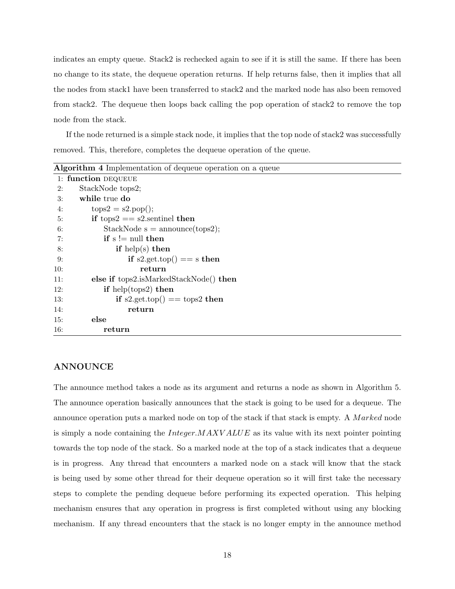indicates an empty queue. Stack2 is rechecked again to see if it is still the same. If there has been no change to its state, the dequeue operation returns. If help returns false, then it implies that all the nodes from stack1 have been transferred to stack2 and the marked node has also been removed from stack2. The dequeue then loops back calling the pop operation of stack2 to remove the top node from the stack.

If the node returned is a simple stack node, it implies that the top node of stack2 was successfully removed. This, therefore, completes the dequeue operation of the queue.

|     | Algorithm 4 Implementation of dequeue operation on a queue |  |
|-----|------------------------------------------------------------|--|
|     | 1: function DEQUEUE                                        |  |
| 2:  | StackNode tops2;                                           |  |
| 3:  | while true do                                              |  |
| 4:  | $tops2 = s2.pop();$                                        |  |
| 5:  | if tops2 $==$ s2.sentinel then                             |  |
| 6:  | $StackNode s = announce(tops2);$                           |  |
| 7:  | if $s \equiv \text{null}$ then                             |  |
| 8:  | if help(s) then                                            |  |
| 9:  | if $s2.get.top() == s then$                                |  |
| 10: | return                                                     |  |
| 11: | else if tops2.isMarkedStackNode() then                     |  |
| 12: | if help(tops2) then                                        |  |
| 13: | if s2.get.top() = tops2 then                               |  |
| 14: | return                                                     |  |
| 15: | else                                                       |  |
| 16: | return                                                     |  |

#### ANNOUNCE

The announce method takes a node as its argument and returns a node as shown in Algorithm 5. The announce operation basically announces that the stack is going to be used for a dequeue. The announce operation puts a marked node on top of the stack if that stack is empty. A Marked node is simply a node containing the  $Integer.MAXVALUE$  as its value with its next pointer pointing towards the top node of the stack. So a marked node at the top of a stack indicates that a dequeue is in progress. Any thread that encounters a marked node on a stack will know that the stack is being used by some other thread for their dequeue operation so it will first take the necessary steps to complete the pending dequeue before performing its expected operation. This helping mechanism ensures that any operation in progress is first completed without using any blocking mechanism. If any thread encounters that the stack is no longer empty in the announce method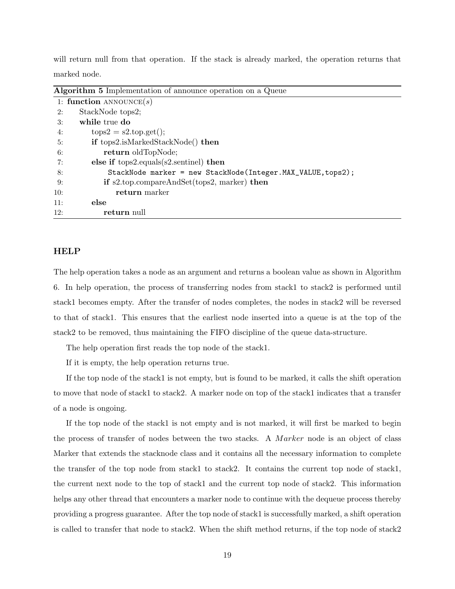will return null from that operation. If the stack is already marked, the operation returns that marked node.

| <b>Algorithm 5</b> Implementation of announce operation on a Queue |  |
|--------------------------------------------------------------------|--|
| 1: function ANNOUNCE $(s)$                                         |  |
| StackNode tops2;<br>2:                                             |  |
| while true do<br>3:                                                |  |
| $tops2 = s2.top.get();$<br>4:                                      |  |
| if tops2.isMarkedStackNode() then<br>5:                            |  |
| return oldTopNode;<br>6:                                           |  |
| else if $tops2.equals(s2.sentinel)$ then<br>7:                     |  |
| StackNode marker = new StackNode(Integer.MAX_VALUE, tops2);<br>8:  |  |
| if $s2.top. compareAndSet(tops2, marker)$ then<br>9:               |  |
| return marker<br>10:                                               |  |
| else<br>11:                                                        |  |
| 12:<br>return null                                                 |  |

#### HELP

The help operation takes a node as an argument and returns a boolean value as shown in Algorithm 6. In help operation, the process of transferring nodes from stack1 to stack2 is performed until stack1 becomes empty. After the transfer of nodes completes, the nodes in stack2 will be reversed to that of stack1. This ensures that the earliest node inserted into a queue is at the top of the stack2 to be removed, thus maintaining the FIFO discipline of the queue data-structure.

The help operation first reads the top node of the stack1.

If it is empty, the help operation returns true.

If the top node of the stack1 is not empty, but is found to be marked, it calls the shift operation to move that node of stack1 to stack2. A marker node on top of the stack1 indicates that a transfer of a node is ongoing.

If the top node of the stack1 is not empty and is not marked, it will first be marked to begin the process of transfer of nodes between the two stacks. A *Marker* node is an object of class Marker that extends the stacknode class and it contains all the necessary information to complete the transfer of the top node from stack1 to stack2. It contains the current top node of stack1, the current next node to the top of stack1 and the current top node of stack2. This information helps any other thread that encounters a marker node to continue with the dequeue process thereby providing a progress guarantee. After the top node of stack1 is successfully marked, a shift operation is called to transfer that node to stack2. When the shift method returns, if the top node of stack2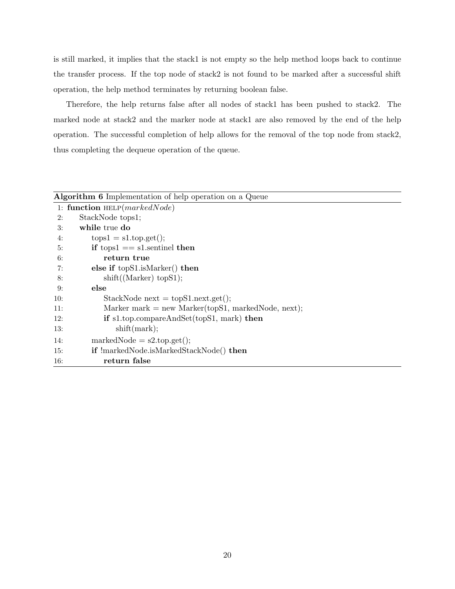is still marked, it implies that the stack1 is not empty so the help method loops back to continue the transfer process. If the top node of stack2 is not found to be marked after a successful shift operation, the help method terminates by returning boolean false.

Therefore, the help returns false after all nodes of stack1 has been pushed to stack2. The marked node at stack2 and the marker node at stack1 are also removed by the end of the help operation. The successful completion of help allows for the removal of the top node from stack2, thus completing the dequeue operation of the queue.

|     | Algorithm 6 Implementation of help operation on a Queue |
|-----|---------------------------------------------------------|
|     | 1: function $HELP(markedNode)$                          |
| 2:  | StackNode tops1;                                        |
| 3:  | while true do                                           |
| 4:  | $tops1 = s1.top.get();$                                 |
| 5:  | if tops $1 ==$ sl. sentinel then                        |
| 6:  | return true                                             |
| 7:  | else if $topS1.isMarket)$ then                          |
| 8:  | shift((Market) topS1);                                  |
| 9:  | else                                                    |
| 10: | $StackNode next = topS1.next.get();$                    |
| 11: | Marker mark = new Marker(topS1, markedNode, next);      |
| 12: | if $s1.top. compactAndSet(topS1, mark)$ then            |
| 13: | shift(mark);                                            |
| 14: | $markedNode = s2.top.get();$                            |
| 15: | <b>if</b> !markedNode.isMarkedStackNode() then          |
| 16: | return false                                            |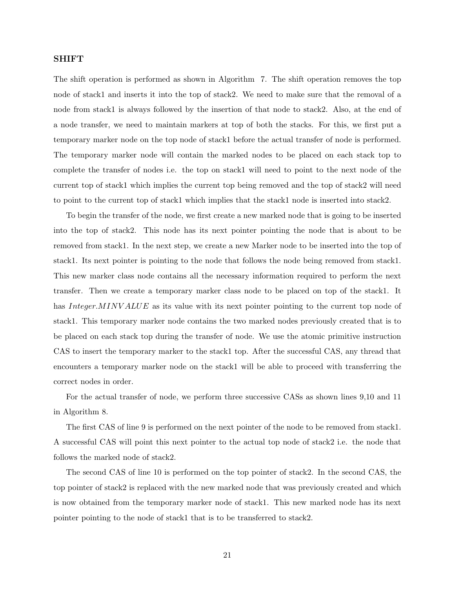#### SHIFT

The shift operation is performed as shown in Algorithm 7. The shift operation removes the top node of stack1 and inserts it into the top of stack2. We need to make sure that the removal of a node from stack1 is always followed by the insertion of that node to stack2. Also, at the end of a node transfer, we need to maintain markers at top of both the stacks. For this, we first put a temporary marker node on the top node of stack1 before the actual transfer of node is performed. The temporary marker node will contain the marked nodes to be placed on each stack top to complete the transfer of nodes i.e. the top on stack1 will need to point to the next node of the current top of stack1 which implies the current top being removed and the top of stack2 will need to point to the current top of stack1 which implies that the stack1 node is inserted into stack2.

To begin the transfer of the node, we first create a new marked node that is going to be inserted into the top of stack2. This node has its next pointer pointing the node that is about to be removed from stack1. In the next step, we create a new Marker node to be inserted into the top of stack1. Its next pointer is pointing to the node that follows the node being removed from stack1. This new marker class node contains all the necessary information required to perform the next transfer. Then we create a temporary marker class node to be placed on top of the stack1. It has Integer.MINV ALUE as its value with its next pointer pointing to the current top node of stack1. This temporary marker node contains the two marked nodes previously created that is to be placed on each stack top during the transfer of node. We use the atomic primitive instruction CAS to insert the temporary marker to the stack1 top. After the successful CAS, any thread that encounters a temporary marker node on the stack1 will be able to proceed with transferring the correct nodes in order.

For the actual transfer of node, we perform three successive CASs as shown lines 9,10 and 11 in Algorithm 8.

The first CAS of line 9 is performed on the next pointer of the node to be removed from stack1. A successful CAS will point this next pointer to the actual top node of stack2 i.e. the node that follows the marked node of stack2.

The second CAS of line 10 is performed on the top pointer of stack2. In the second CAS, the top pointer of stack2 is replaced with the new marked node that was previously created and which is now obtained from the temporary marker node of stack1. This new marked node has its next pointer pointing to the node of stack1 that is to be transferred to stack2.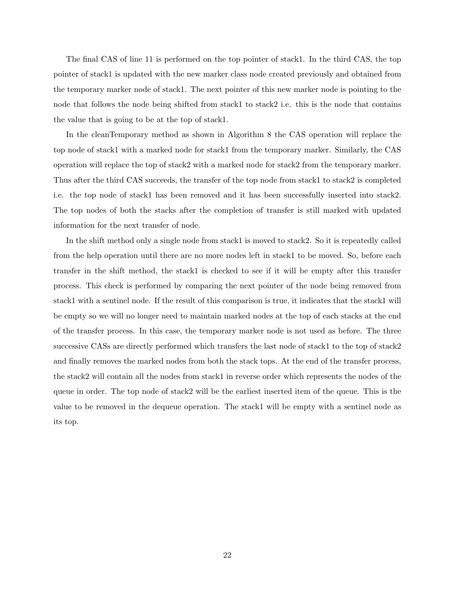The final CAS of line 11 is performed on the top pointer of stack1. In the third CAS, the top pointer of stack1 is updated with the new marker class node created previously and obtained from the temporary marker node of stack1. The next pointer of this new marker node is pointing to the node that follows the node being shifted from stack1 to stack2 i.e. this is the node that contains the value that is going to be at the top of stack1.

In the cleanTemporary method as shown in Algorithm 8 the CAS operation will replace the top node of stack1 with a marked node for stack1 from the temporary marker. Similarly, the CAS operation will replace the top of stack2 with a marked node for stack2 from the temporary marker. Thus after the third CAS succeeds, the transfer of the top node from stack1 to stack2 is completed i.e. the top node of stack1 has been removed and it has been successfully inserted into stack2. The top nodes of both the stacks after the completion of transfer is still marked with updated information for the next transfer of node.

In the shift method only a single node from stack1 is moved to stack2. So it is repeatedly called from the help operation until there are no more nodes left in stack1 to be moved. So, before each transfer in the shift method, the stack1 is checked to see if it will be empty after this transfer process. This check is performed by comparing the next pointer of the node being removed from stack1 with a sentinel node. If the result of this comparison is true, it indicates that the stack1 will be empty so we will no longer need to maintain marked nodes at the top of each stacks at the end of the transfer process. In this case, the temporary marker node is not used as before. The three successive CASs are directly performed which transfers the last node of stack1 to the top of stack2 and finally removes the marked nodes from both the stack tops. At the end of the transfer process, the stack2 will contain all the nodes from stack1 in reverse order which represents the nodes of the queue in order. The top node of stack2 will be the earliest inserted item of the queue. This is the value to be removed in the dequeue operation. The stack1 will be empty with a sentinel node as its top.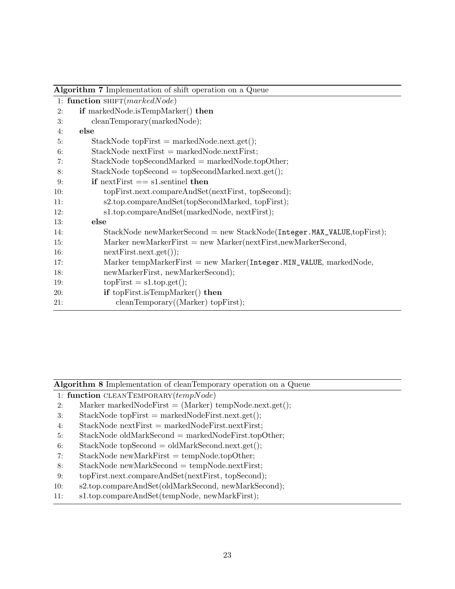| Algorithm 7 Implementation of shift operation on a Queue               |  |  |
|------------------------------------------------------------------------|--|--|
| 1: function SHIFT( $markedNode)$                                       |  |  |
| if markedNode.isTempMarker() then                                      |  |  |
| cleanTemporary(markedNode);                                            |  |  |
| else                                                                   |  |  |
| $StackNode topFirst = markedNode.next.get();$                          |  |  |
| $StackNode nextFirst = markedNode.nextFirst;$                          |  |  |
| $StackNode topSecondMarket = markedNode-topOther;$                     |  |  |
| $StackNode topSecond = topSecondMarket.next.get();$                    |  |  |
| if next First $==$ s1.sentinel then                                    |  |  |
| topFirst.next.compareAndSet(nextFirst, topSecond);                     |  |  |
| s2.top.compareAndSet(topSecondMarked, topFirst);                       |  |  |
| s1.top.compareAndSet(markedNode, nextFirst);                           |  |  |
| else                                                                   |  |  |
| StackNode newMarkerSecond = new StackNode(Integer.MAX_VALUE,topFirst); |  |  |
| Marker new Marker First = new Marker (next First, new Marker Second,   |  |  |
| $nextFirst.next.get()$ ;                                               |  |  |
| Marker tempMarkerFirst = new Marker( $Integer.MIN_VALUE$ , markedNode, |  |  |
| newMarkerFirst, newMarkerSecond);                                      |  |  |
| $topFirst = s1.top.get();$                                             |  |  |
| if topFirst.isTempMarker() then                                        |  |  |
| cleanTemporary((Market) topFirst);                                     |  |  |
|                                                                        |  |  |

Algorithm 8 Implementation of cleanTemporary operation on a Queue

1: function  $CLEANTEMPORT$  $(tempNode)$ 

- 2: Marker markedNodeFirst  $=$  (Marker) tempNode.next.get();
- 3: StackNode topFirst = markedNodeFirst.next.get();
- 4: StackNode  $nextFirst = markedNodeFirst.nextFirst;$
- 5: StackNode oldMarkSecond = markedNodeFirst.topOther;
- 6: StackNode topSecond = oldMarkSecond.next.get $(i;$
- 7: StackNode newMarkFirst = tempNode.topOther;
- 8: StackNode newMarkSecond = tempNode.nextFirst;
- 9: topFirst.next.compareAndSet(nextFirst, topSecond);
- 10: s2.top.compareAndSet(oldMarkSecond, newMarkSecond);
- 11: s1.top.compareAndSet(tempNode, newMarkFirst);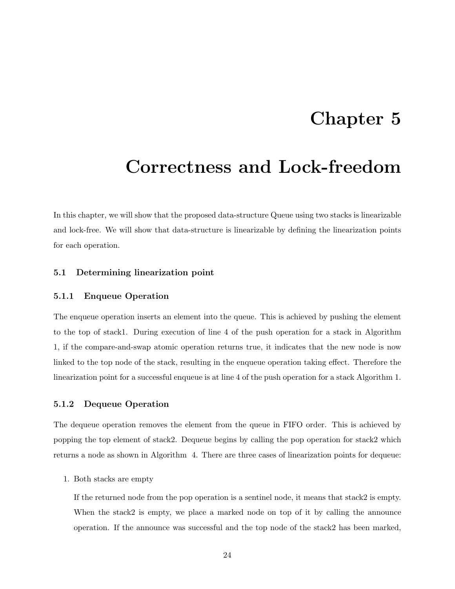### Chapter 5

### Correctness and Lock-freedom

In this chapter, we will show that the proposed data-structure Queue using two stacks is linearizable and lock-free. We will show that data-structure is linearizable by defining the linearization points for each operation.

#### 5.1 Determining linearization point

#### 5.1.1 Enqueue Operation

The enqueue operation inserts an element into the queue. This is achieved by pushing the element to the top of stack1. During execution of line 4 of the push operation for a stack in Algorithm 1, if the compare-and-swap atomic operation returns true, it indicates that the new node is now linked to the top node of the stack, resulting in the enqueue operation taking effect. Therefore the linearization point for a successful enqueue is at line 4 of the push operation for a stack Algorithm 1.

#### 5.1.2 Dequeue Operation

The dequeue operation removes the element from the queue in FIFO order. This is achieved by popping the top element of stack2. Dequeue begins by calling the pop operation for stack2 which returns a node as shown in Algorithm 4. There are three cases of linearization points for dequeue:

#### 1. Both stacks are empty

If the returned node from the pop operation is a sentinel node, it means that stack2 is empty. When the stack2 is empty, we place a marked node on top of it by calling the announce operation. If the announce was successful and the top node of the stack2 has been marked,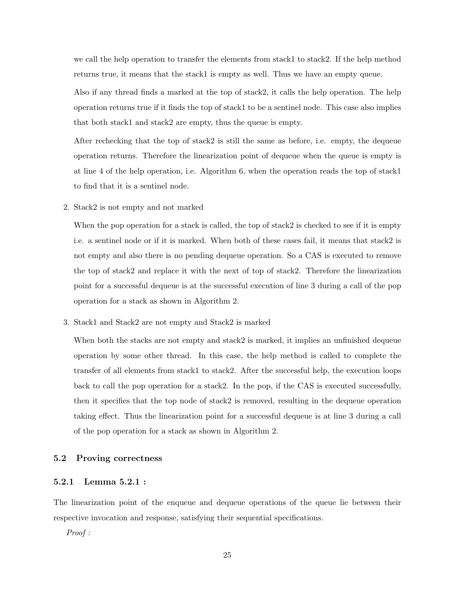we call the help operation to transfer the elements from stack1 to stack2. If the help method returns true, it means that the stack1 is empty as well. Thus we have an empty queue.

Also if any thread finds a marked at the top of stack2, it calls the help operation. The help operation returns true if it finds the top of stack1 to be a sentinel node. This case also implies that both stack1 and stack2 are empty, thus the queue is empty.

After rechecking that the top of stack2 is still the same as before, i.e. empty, the dequeue operation returns. Therefore the linearization point of dequeue when the queue is empty is at line 4 of the help operation, i.e. Algorithm 6, when the operation reads the top of stack1 to find that it is a sentinel node.

2. Stack2 is not empty and not marked

When the pop operation for a stack is called, the top of stack 2 is checked to see if it is empty i.e. a sentinel node or if it is marked. When both of these cases fail, it means that stack2 is not empty and also there is no pending dequeue operation. So a CAS is executed to remove the top of stack2 and replace it with the next of top of stack2. Therefore the linearization point for a successful dequeue is at the successful execution of line 3 during a call of the pop operation for a stack as shown in Algorithm 2.

3. Stack1 and Stack2 are not empty and Stack2 is marked

When both the stacks are not empty and stack2 is marked, it implies an unfinished dequeue operation by some other thread. In this case, the help method is called to complete the transfer of all elements from stack1 to stack2. After the successful help, the execution loops back to call the pop operation for a stack2. In the pop, if the CAS is executed successfully, then it specifies that the top node of stack2 is removed, resulting in the dequeue operation taking effect. Thus the linearization point for a successful dequeue is at line 3 during a call of the pop operation for a stack as shown in Algorithm 2.

#### 5.2 Proving correctness

#### 5.2.1 Lemma 5.2.1 :

The linearization point of the enqueue and dequeue operations of the queue lie between their respective invocation and response, satisfying their sequential specifications.

Proof :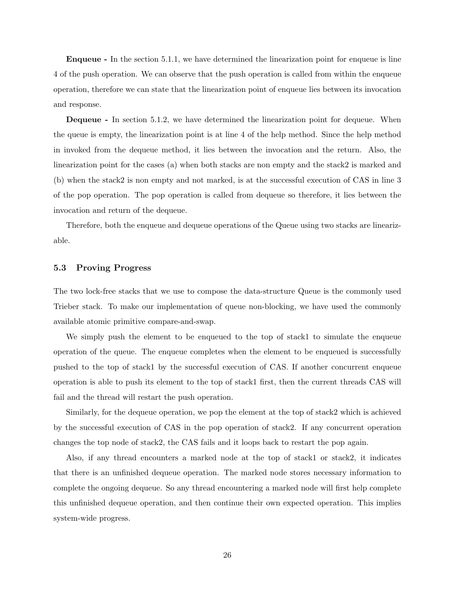Enqueue - In the section 5.1.1, we have determined the linearization point for enqueue is line 4 of the push operation. We can observe that the push operation is called from within the enqueue operation, therefore we can state that the linearization point of enqueue lies between its invocation and response.

**Dequeue** - In section 5.1.2, we have determined the linearization point for dequeue. When the queue is empty, the linearization point is at line 4 of the help method. Since the help method in invoked from the dequeue method, it lies between the invocation and the return. Also, the linearization point for the cases (a) when both stacks are non empty and the stack2 is marked and (b) when the stack2 is non empty and not marked, is at the successful execution of CAS in line 3 of the pop operation. The pop operation is called from dequeue so therefore, it lies between the invocation and return of the dequeue.

Therefore, both the enqueue and dequeue operations of the Queue using two stacks are linearizable.

#### 5.3 Proving Progress

The two lock-free stacks that we use to compose the data-structure Queue is the commonly used Trieber stack. To make our implementation of queue non-blocking, we have used the commonly available atomic primitive compare-and-swap.

We simply push the element to be enqueued to the top of stack1 to simulate the enqueue operation of the queue. The enqueue completes when the element to be enqueued is successfully pushed to the top of stack1 by the successful execution of CAS. If another concurrent enqueue operation is able to push its element to the top of stack1 first, then the current threads CAS will fail and the thread will restart the push operation.

Similarly, for the dequeue operation, we pop the element at the top of stack2 which is achieved by the successful execution of CAS in the pop operation of stack2. If any concurrent operation changes the top node of stack2, the CAS fails and it loops back to restart the pop again.

Also, if any thread encounters a marked node at the top of stack1 or stack2, it indicates that there is an unfinished dequeue operation. The marked node stores necessary information to complete the ongoing dequeue. So any thread encountering a marked node will first help complete this unfinished dequeue operation, and then continue their own expected operation. This implies system-wide progress.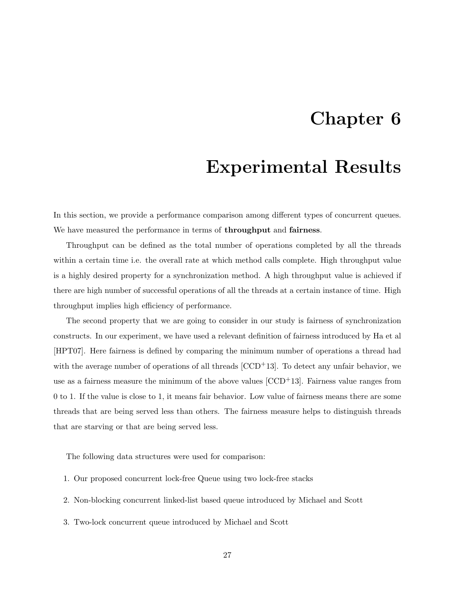### Chapter 6

### Experimental Results

In this section, we provide a performance comparison among different types of concurrent queues. We have measured the performance in terms of **throughput** and **fairness**.

Throughput can be defined as the total number of operations completed by all the threads within a certain time i.e. the overall rate at which method calls complete. High throughput value is a highly desired property for a synchronization method. A high throughput value is achieved if there are high number of successful operations of all the threads at a certain instance of time. High throughput implies high efficiency of performance.

The second property that we are going to consider in our study is fairness of synchronization constructs. In our experiment, we have used a relevant definition of fairness introduced by Ha et al [HPT07]. Here fairness is defined by comparing the minimum number of operations a thread had with the average number of operations of all threads  $[CCD<sup>+</sup>13]$ . To detect any unfair behavior, we use as a fairness measure the minimum of the above values  $[CCD<sup>+</sup>13]$ . Fairness value ranges from 0 to 1. If the value is close to 1, it means fair behavior. Low value of fairness means there are some threads that are being served less than others. The fairness measure helps to distinguish threads that are starving or that are being served less.

The following data structures were used for comparison:

- 1. Our proposed concurrent lock-free Queue using two lock-free stacks
- 2. Non-blocking concurrent linked-list based queue introduced by Michael and Scott
- 3. Two-lock concurrent queue introduced by Michael and Scott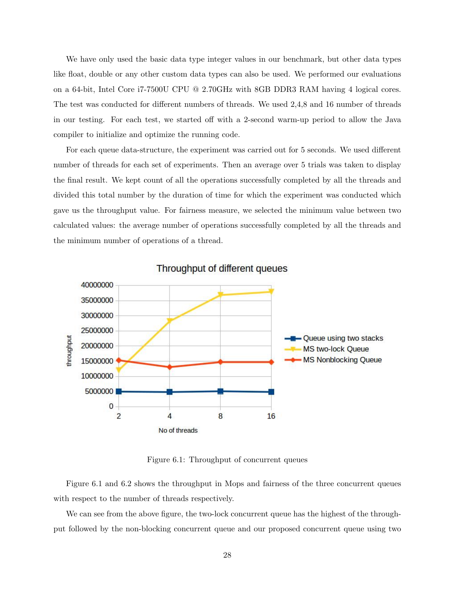We have only used the basic data type integer values in our benchmark, but other data types like float, double or any other custom data types can also be used. We performed our evaluations on a 64-bit, Intel Core i7-7500U CPU @ 2.70GHz with 8GB DDR3 RAM having 4 logical cores. The test was conducted for different numbers of threads. We used 2,4,8 and 16 number of threads in our testing. For each test, we started off with a 2-second warm-up period to allow the Java compiler to initialize and optimize the running code.

For each queue data-structure, the experiment was carried out for 5 seconds. We used different number of threads for each set of experiments. Then an average over 5 trials was taken to display the final result. We kept count of all the operations successfully completed by all the threads and divided this total number by the duration of time for which the experiment was conducted which gave us the throughput value. For fairness measure, we selected the minimum value between two calculated values: the average number of operations successfully completed by all the threads and the minimum number of operations of a thread.



Throughput of different queues

Figure 6.1: Throughput of concurrent queues

Figure 6.1 and 6.2 shows the throughput in Mops and fairness of the three concurrent queues with respect to the number of threads respectively.

We can see from the above figure, the two-lock concurrent queue has the highest of the throughput followed by the non-blocking concurrent queue and our proposed concurrent queue using two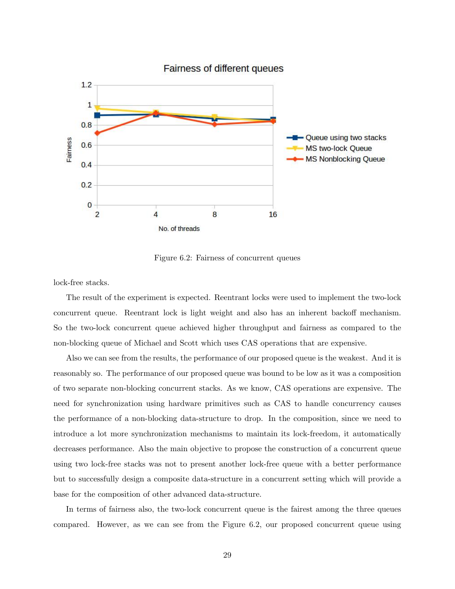

Figure 6.2: Fairness of concurrent queues

lock-free stacks.

The result of the experiment is expected. Reentrant locks were used to implement the two-lock concurrent queue. Reentrant lock is light weight and also has an inherent backoff mechanism. So the two-lock concurrent queue achieved higher throughput and fairness as compared to the non-blocking queue of Michael and Scott which uses CAS operations that are expensive.

Also we can see from the results, the performance of our proposed queue is the weakest. And it is reasonably so. The performance of our proposed queue was bound to be low as it was a composition of two separate non-blocking concurrent stacks. As we know, CAS operations are expensive. The need for synchronization using hardware primitives such as CAS to handle concurrency causes the performance of a non-blocking data-structure to drop. In the composition, since we need to introduce a lot more synchronization mechanisms to maintain its lock-freedom, it automatically decreases performance. Also the main objective to propose the construction of a concurrent queue using two lock-free stacks was not to present another lock-free queue with a better performance but to successfully design a composite data-structure in a concurrent setting which will provide a base for the composition of other advanced data-structure.

In terms of fairness also, the two-lock concurrent queue is the fairest among the three queues compared. However, as we can see from the Figure 6.2, our proposed concurrent queue using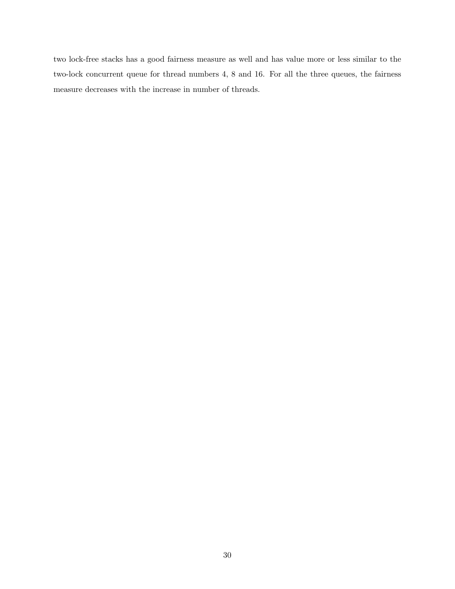two lock-free stacks has a good fairness measure as well and has value more or less similar to the two-lock concurrent queue for thread numbers 4, 8 and 16. For all the three queues, the fairness measure decreases with the increase in number of threads.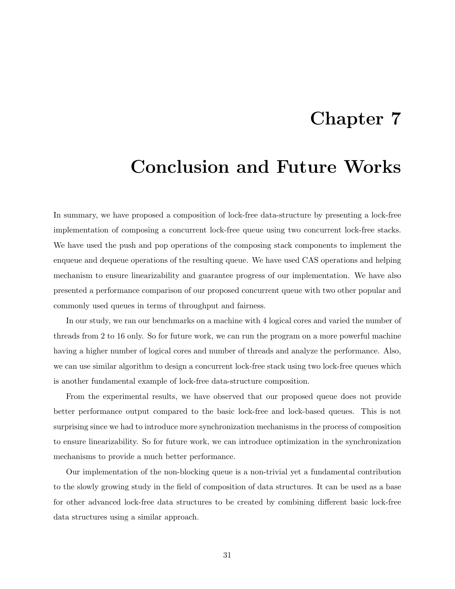### Chapter 7

### Conclusion and Future Works

In summary, we have proposed a composition of lock-free data-structure by presenting a lock-free implementation of composing a concurrent lock-free queue using two concurrent lock-free stacks. We have used the push and pop operations of the composing stack components to implement the enqueue and dequeue operations of the resulting queue. We have used CAS operations and helping mechanism to ensure linearizability and guarantee progress of our implementation. We have also presented a performance comparison of our proposed concurrent queue with two other popular and commonly used queues in terms of throughput and fairness.

In our study, we ran our benchmarks on a machine with 4 logical cores and varied the number of threads from 2 to 16 only. So for future work, we can run the program on a more powerful machine having a higher number of logical cores and number of threads and analyze the performance. Also, we can use similar algorithm to design a concurrent lock-free stack using two lock-free queues which is another fundamental example of lock-free data-structure composition.

From the experimental results, we have observed that our proposed queue does not provide better performance output compared to the basic lock-free and lock-based queues. This is not surprising since we had to introduce more synchronization mechanisms in the process of composition to ensure linearizability. So for future work, we can introduce optimization in the synchronization mechanisms to provide a much better performance.

Our implementation of the non-blocking queue is a non-trivial yet a fundamental contribution to the slowly growing study in the field of composition of data structures. It can be used as a base for other advanced lock-free data structures to be created by combining different basic lock-free data structures using a similar approach.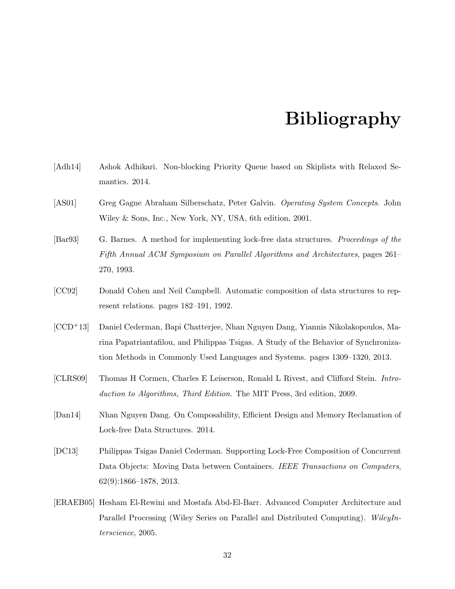### Bibliography

- [Adh14] Ashok Adhikari. Non-blocking Priority Queue based on Skiplists with Relaxed Semantics. 2014.
- [AS01] Greg Gagne Abraham Silberschatz, Peter Galvin. Operating System Concepts. John Wiley & Sons, Inc., New York, NY, USA, 6th edition, 2001.
- [Bar93] G. Barnes. A method for implementing lock-free data structures. Proceedings of the Fifth Annual ACM Symposium on Parallel Algorithms and Architectures, pages 261– 270, 1993.
- [CC92] Donald Cohen and Neil Campbell. Automatic composition of data structures to represent relations. pages 182–191, 1992.
- [CCD+13] Daniel Cederman, Bapi Chatterjee, Nhan Nguyen Dang, Yiannis Nikolakopoulos, Marina Papatriantafilou, and Philippas Tsigas. A Study of the Behavior of Synchronization Methods in Commonly Used Languages and Systems. pages 1309–1320, 2013.
- [CLRS09] Thomas H Cormen, Charles E Leiserson, Ronald L Rivest, and Clifford Stein. Introduction to Algorithms, Third Edition. The MIT Press, 3rd edition, 2009.
- [Dan14] Nhan Nguyen Dang. On Composability, Efficient Design and Memory Reclamation of Lock-free Data Structures. 2014.
- [DC13] Philippas Tsigas Daniel Cederman. Supporting Lock-Free Composition of Concurrent Data Objects: Moving Data between Containers. IEEE Transactions on Computers, 62(9):1866–1878, 2013.
- [ERAEB05] Hesham El-Rewini and Mostafa Abd-El-Barr. Advanced Computer Architecture and Parallel Processing (Wiley Series on Parallel and Distributed Computing). WileyInterscience, 2005.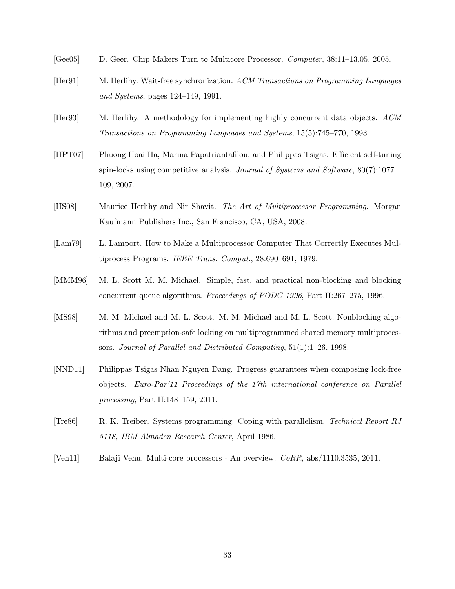- [Gee05] D. Geer. Chip Makers Turn to Multicore Processor. Computer, 38:11–13,05, 2005.
- [Her91] M. Herlihy. Wait-free synchronization. ACM Transactions on Programming Languages and Systems, pages 124–149, 1991.
- [Her93] M. Herlihy. A methodology for implementing highly concurrent data objects. ACM Transactions on Programming Languages and Systems, 15(5):745–770, 1993.
- [HPT07] Phuong Hoai Ha, Marina Papatriantafilou, and Philippas Tsigas. Efficient self-tuning spin-locks using competitive analysis. Journal of Systems and Software,  $80(7)$ :1077 – 109, 2007.
- [HS08] Maurice Herlihy and Nir Shavit. The Art of Multiprocessor Programming. Morgan Kaufmann Publishers Inc., San Francisco, CA, USA, 2008.
- [Lam79] L. Lamport. How to Make a Multiprocessor Computer That Correctly Executes Multiprocess Programs. IEEE Trans. Comput., 28:690–691, 1979.
- [MMM96] M. L. Scott M. M. Michael. Simple, fast, and practical non-blocking and blocking concurrent queue algorithms. Proceedings of PODC 1996, Part II:267–275, 1996.
- [MS98] M. M. Michael and M. L. Scott. M. M. Michael and M. L. Scott. Nonblocking algorithms and preemption-safe locking on multiprogrammed shared memory multiprocessors. Journal of Parallel and Distributed Computing, 51(1):1–26, 1998.
- [NND11] Philippas Tsigas Nhan Nguyen Dang. Progress guarantees when composing lock-free objects. Euro-Par'11 Proceedings of the 17th international conference on Parallel processing, Part II:148–159, 2011.
- [Tre86] R. K. Treiber. Systems programming: Coping with parallelism. Technical Report RJ 5118, IBM Almaden Research Center, April 1986.
- [Ven11] Balaji Venu. Multi-core processors An overview. CoRR, abs/1110.3535, 2011.